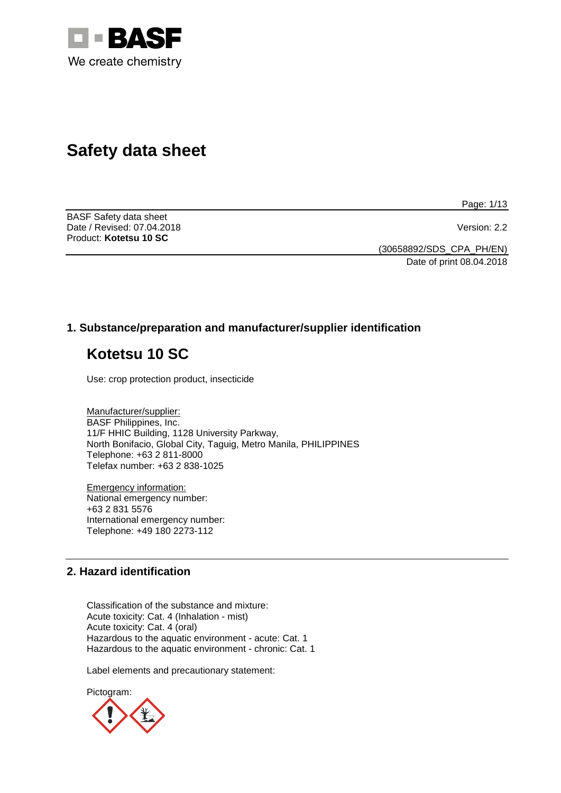

# **Safety data sheet**

Page: 1/13

BASF Safety data sheet Date / Revised: 07.04.2018 Version: 2.2 Product: **Kotetsu 10 SC**

(30658892/SDS\_CPA\_PH/EN) Date of print 08.04.2018

# **1. Substance/preparation and manufacturer/supplier identification**

# **Kotetsu 10 SC**

Use: crop protection product, insecticide

Manufacturer/supplier: BASF Philippines, Inc. 11/F HHIC Building, 1128 University Parkway, North Bonifacio, Global City, Taguig, Metro Manila, PHILIPPINES Telephone: +63 2 811-8000 Telefax number: +63 2 838-1025

Emergency information: National emergency number: +63 2 831 5576 International emergency number: Telephone: +49 180 2273-112

# **2. Hazard identification**

Classification of the substance and mixture: Acute toxicity: Cat. 4 (Inhalation - mist) Acute toxicity: Cat. 4 (oral) Hazardous to the aquatic environment - acute: Cat. 1 Hazardous to the aquatic environment - chronic: Cat. 1

Label elements and precautionary statement:

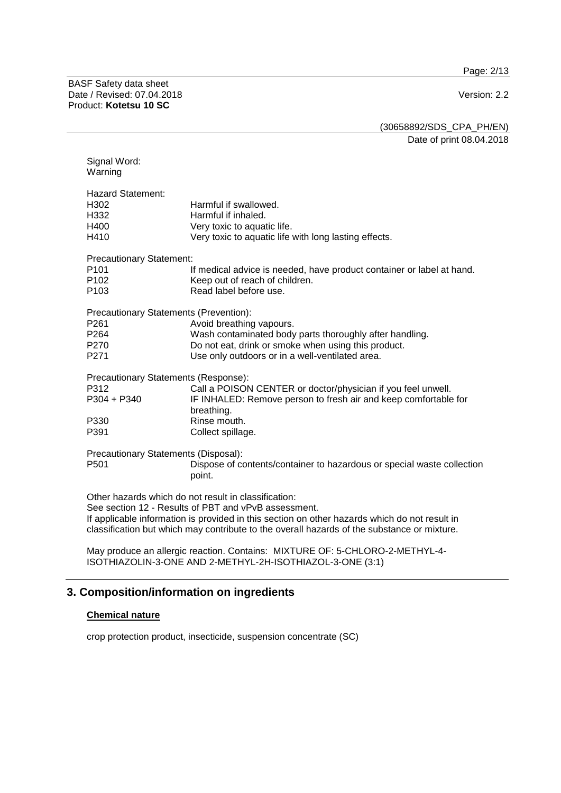Page: 2/13

BASF Safety data sheet Date / Revised: 07.04.2018 Version: 2.2 Product: **Kotetsu 10 SC**

(30658892/SDS\_CPA\_PH/EN)

Date of print 08.04.2018

| Signal Word:<br>Warning                                                                                                                                                                                       |                                                                                                                                      |  |
|---------------------------------------------------------------------------------------------------------------------------------------------------------------------------------------------------------------|--------------------------------------------------------------------------------------------------------------------------------------|--|
| <b>Hazard Statement:</b><br>H302<br>H332<br>H400<br>H410                                                                                                                                                      | Harmful if swallowed.<br>Harmful if inhaled.<br>Very toxic to aquatic life.<br>Very toxic to aquatic life with long lasting effects. |  |
| <b>Precautionary Statement:</b>                                                                                                                                                                               |                                                                                                                                      |  |
| P <sub>101</sub>                                                                                                                                                                                              | If medical advice is needed, have product container or label at hand.                                                                |  |
| P102                                                                                                                                                                                                          | Keep out of reach of children.                                                                                                       |  |
| P <sub>103</sub>                                                                                                                                                                                              | Read label before use.                                                                                                               |  |
| Precautionary Statements (Prevention):                                                                                                                                                                        |                                                                                                                                      |  |
| P261                                                                                                                                                                                                          | Avoid breathing vapours.                                                                                                             |  |
| P <sub>264</sub>                                                                                                                                                                                              | Wash contaminated body parts thoroughly after handling.                                                                              |  |
| P270                                                                                                                                                                                                          | Do not eat, drink or smoke when using this product.                                                                                  |  |
| P <sub>271</sub>                                                                                                                                                                                              | Use only outdoors or in a well-ventilated area.                                                                                      |  |
| Precautionary Statements (Response):                                                                                                                                                                          |                                                                                                                                      |  |
| P312                                                                                                                                                                                                          | Call a POISON CENTER or doctor/physician if you feel unwell.                                                                         |  |
| P304 + P340                                                                                                                                                                                                   | IF INHALED: Remove person to fresh air and keep comfortable for<br>breathing.                                                        |  |
| P330                                                                                                                                                                                                          | Rinse mouth.                                                                                                                         |  |
| P391                                                                                                                                                                                                          | Collect spillage.                                                                                                                    |  |
| Precautionary Statements (Disposal):                                                                                                                                                                          |                                                                                                                                      |  |
| P <sub>501</sub>                                                                                                                                                                                              | Dispose of contents/container to hazardous or special waste collection<br>point.                                                     |  |
| Other hazards which do not result in classification:<br>See section 12 - Results of PBT and vPvB assessment.<br>If annliaghla information is provided in this contign on other because which do not requit in |                                                                                                                                      |  |

If applicable information is provided in this section on other hazards which do not result in classification but which may contribute to the overall hazards of the substance or mixture.

May produce an allergic reaction. Contains: MIXTURE OF: 5-CHLORO-2-METHYL-4- ISOTHIAZOLIN-3-ONE AND 2-METHYL-2H-ISOTHIAZOL-3-ONE (3:1)

# **3. Composition/information on ingredients**

#### **Chemical nature**

crop protection product, insecticide, suspension concentrate (SC)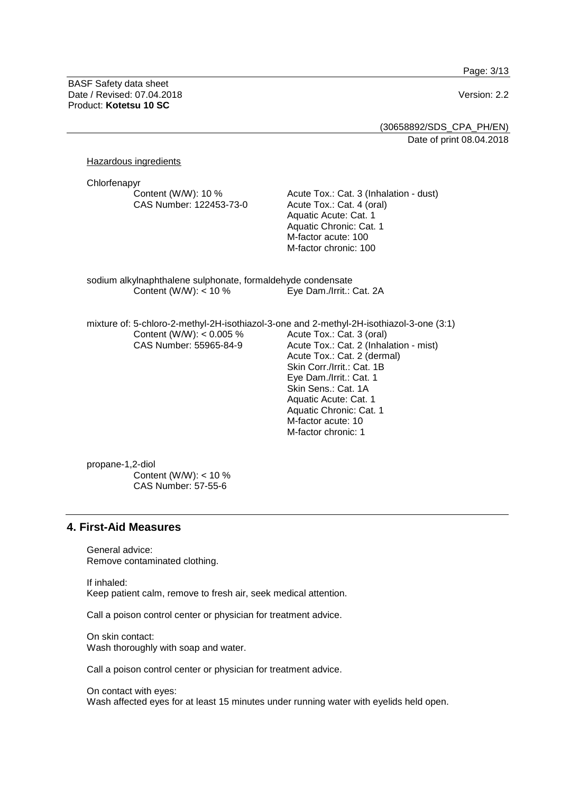Page: 3/13

BASF Safety data sheet Date / Revised: 07.04.2018 Version: 2.2 Product: **Kotetsu 10 SC**

(30658892/SDS\_CPA\_PH/EN) Date of print 08.04.2018

Hazardous ingredients

Chlorfenapyr

Content (W/W): 10 % CAS Number: 122453-73-0 Acute Tox.: Cat. 3 (Inhalation - dust) Acute Tox.: Cat. 4 (oral) Aquatic Acute: Cat. 1 Aquatic Chronic: Cat. 1 M-factor acute: 100 M-factor chronic: 100

Aquatic Chronic: Cat. 1 M-factor acute: 10 M-factor chronic: 1

sodium alkylnaphthalene sulphonate, formaldehyde condensate Content (W/W): < 10 % Eye Dam./Irrit.: Cat. 2A

mixture of: 5-chloro-2-methyl-2H-isothiazol-3-one and 2-methyl-2H-isothiazol-3-one (3:1) Content (W/W): < 0.005 % CAS Number: 55965-84-9 Acute Tox.: Cat. 3 (oral) Acute Tox.: Cat. 2 (Inhalation - mist) Acute Tox.: Cat. 2 (dermal) Skin Corr./Irrit.: Cat. 1B Eye Dam./Irrit.: Cat. 1 Skin Sens.: Cat. 1A Aquatic Acute: Cat. 1

propane-1,2-diol Content (W/W):  $<$  10 % CAS Number: 57-55-6

#### **4. First-Aid Measures**

General advice: Remove contaminated clothing.

If inhaled: Keep patient calm, remove to fresh air, seek medical attention.

Call a poison control center or physician for treatment advice.

On skin contact: Wash thoroughly with soap and water.

Call a poison control center or physician for treatment advice.

On contact with eyes: Wash affected eyes for at least 15 minutes under running water with eyelids held open.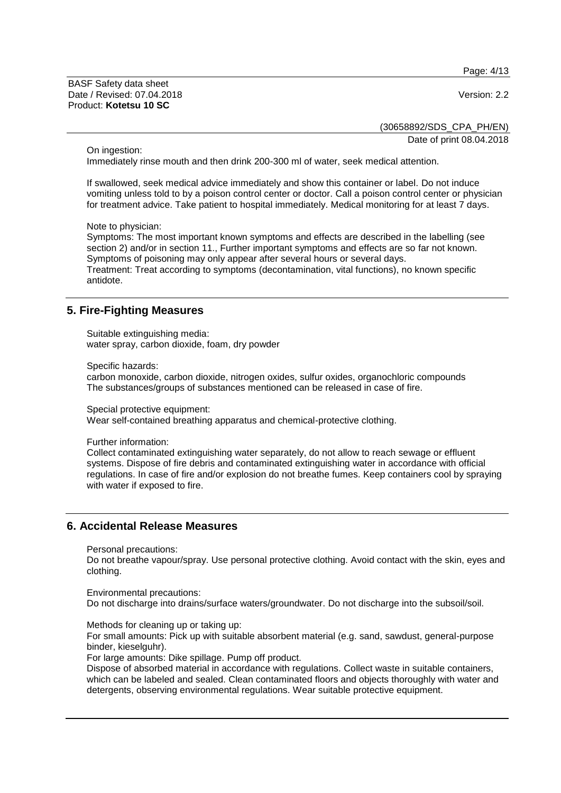Page: 4/13

BASF Safety data sheet Date / Revised: 07.04.2018 Version: 2.2 Product: **Kotetsu 10 SC**

(30658892/SDS\_CPA\_PH/EN) Date of print 08.04.2018

On ingestion:

Immediately rinse mouth and then drink 200-300 ml of water, seek medical attention.

If swallowed, seek medical advice immediately and show this container or label. Do not induce vomiting unless told to by a poison control center or doctor. Call a poison control center or physician for treatment advice. Take patient to hospital immediately. Medical monitoring for at least 7 days.

Note to physician:

Symptoms: The most important known symptoms and effects are described in the labelling (see section 2) and/or in section 11., Further important symptoms and effects are so far not known. Symptoms of poisoning may only appear after several hours or several days. Treatment: Treat according to symptoms (decontamination, vital functions), no known specific antidote.

#### **5. Fire-Fighting Measures**

Suitable extinguishing media: water spray, carbon dioxide, foam, dry powder

Specific hazards:

carbon monoxide, carbon dioxide, nitrogen oxides, sulfur oxides, organochloric compounds The substances/groups of substances mentioned can be released in case of fire.

Special protective equipment:

Wear self-contained breathing apparatus and chemical-protective clothing.

Further information:

Collect contaminated extinguishing water separately, do not allow to reach sewage or effluent systems. Dispose of fire debris and contaminated extinguishing water in accordance with official regulations. In case of fire and/or explosion do not breathe fumes. Keep containers cool by spraying with water if exposed to fire.

#### **6. Accidental Release Measures**

Personal precautions:

Do not breathe vapour/spray. Use personal protective clothing. Avoid contact with the skin, eyes and clothing.

Environmental precautions: Do not discharge into drains/surface waters/groundwater. Do not discharge into the subsoil/soil.

Methods for cleaning up or taking up:

For small amounts: Pick up with suitable absorbent material (e.g. sand, sawdust, general-purpose binder, kieselguhr).

For large amounts: Dike spillage. Pump off product.

Dispose of absorbed material in accordance with regulations. Collect waste in suitable containers, which can be labeled and sealed. Clean contaminated floors and objects thoroughly with water and detergents, observing environmental regulations. Wear suitable protective equipment.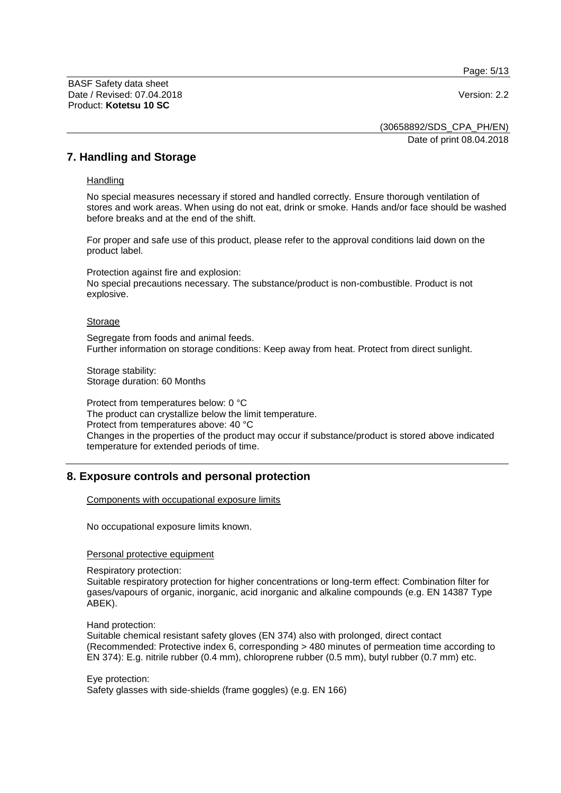Page: 5/13

BASF Safety data sheet Date / Revised: 07.04.2018 Version: 2.2 Product: **Kotetsu 10 SC**

(30658892/SDS\_CPA\_PH/EN) Date of print 08.04.2018

### **7. Handling and Storage**

#### **Handling**

No special measures necessary if stored and handled correctly. Ensure thorough ventilation of stores and work areas. When using do not eat, drink or smoke. Hands and/or face should be washed before breaks and at the end of the shift.

For proper and safe use of this product, please refer to the approval conditions laid down on the product label.

Protection against fire and explosion: No special precautions necessary. The substance/product is non-combustible. Product is not explosive.

#### **Storage**

Segregate from foods and animal feeds. Further information on storage conditions: Keep away from heat. Protect from direct sunlight.

Storage stability: Storage duration: 60 Months

Protect from temperatures below: 0 °C The product can crystallize below the limit temperature. Protect from temperatures above: 40 °C Changes in the properties of the product may occur if substance/product is stored above indicated temperature for extended periods of time.

### **8. Exposure controls and personal protection**

Components with occupational exposure limits

No occupational exposure limits known.

Personal protective equipment

Respiratory protection:

Suitable respiratory protection for higher concentrations or long-term effect: Combination filter for gases/vapours of organic, inorganic, acid inorganic and alkaline compounds (e.g. EN 14387 Type ABEK).

Hand protection:

Suitable chemical resistant safety gloves (EN 374) also with prolonged, direct contact (Recommended: Protective index 6, corresponding > 480 minutes of permeation time according to EN 374): E.g. nitrile rubber (0.4 mm), chloroprene rubber (0.5 mm), butyl rubber (0.7 mm) etc.

Eye protection: Safety glasses with side-shields (frame goggles) (e.g. EN 166)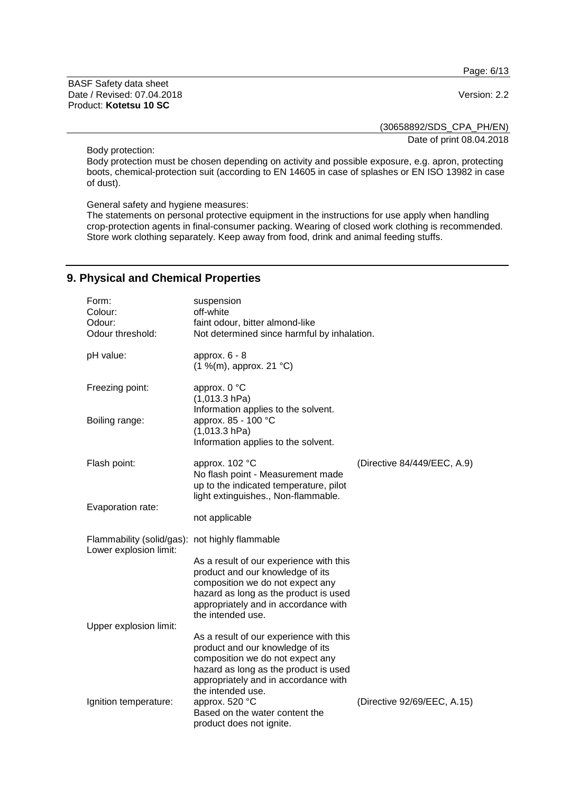Page: 6/13

BASF Safety data sheet Date / Revised: 07.04.2018 Version: 2.2 Product: **Kotetsu 10 SC**

(30658892/SDS\_CPA\_PH/EN) Date of print 08.04.2018

Body protection:

Body protection must be chosen depending on activity and possible exposure, e.g. apron, protecting boots, chemical-protection suit (according to EN 14605 in case of splashes or EN ISO 13982 in case of dust).

General safety and hygiene measures:

The statements on personal protective equipment in the instructions for use apply when handling crop-protection agents in final-consumer packing. Wearing of closed work clothing is recommended. Store work clothing separately. Keep away from food, drink and animal feeding stuffs.

# **9. Physical and Chemical Properties**

| Form:<br>Colour:<br>Odour:<br>Odour threshold:                           | suspension<br>off-white<br>faint odour, bitter almond-like<br>Not determined since harmful by inhalation.                                                                                                             |                             |
|--------------------------------------------------------------------------|-----------------------------------------------------------------------------------------------------------------------------------------------------------------------------------------------------------------------|-----------------------------|
| pH value:                                                                | approx. $6 - 8$<br>$(1\%$ (m), approx. 21 °C)                                                                                                                                                                         |                             |
| Freezing point:                                                          | approx. 0 °C<br>$(1,013.3)$ hPa)<br>Information applies to the solvent.                                                                                                                                               |                             |
| Boiling range:                                                           | approx. 85 - 100 °C<br>$(1,013.3)$ hPa)<br>Information applies to the solvent.                                                                                                                                        |                             |
| Flash point:                                                             | approx. 102 °C<br>No flash point - Measurement made<br>up to the indicated temperature, pilot<br>light extinguishes., Non-flammable.                                                                                  | (Directive 84/449/EEC, A.9) |
| Evaporation rate:                                                        | not applicable                                                                                                                                                                                                        |                             |
| Flammability (solid/gas): not highly flammable<br>Lower explosion limit: |                                                                                                                                                                                                                       |                             |
| Upper explosion limit:                                                   | As a result of our experience with this<br>product and our knowledge of its<br>composition we do not expect any<br>hazard as long as the product is used<br>appropriately and in accordance with<br>the intended use. |                             |
|                                                                          | As a result of our experience with this<br>product and our knowledge of its<br>composition we do not expect any<br>hazard as long as the product is used<br>appropriately and in accordance with                      |                             |
| Ignition temperature:                                                    | the intended use.<br>approx. 520 °C<br>Based on the water content the<br>product does not ignite.                                                                                                                     | (Directive 92/69/EEC, A.15) |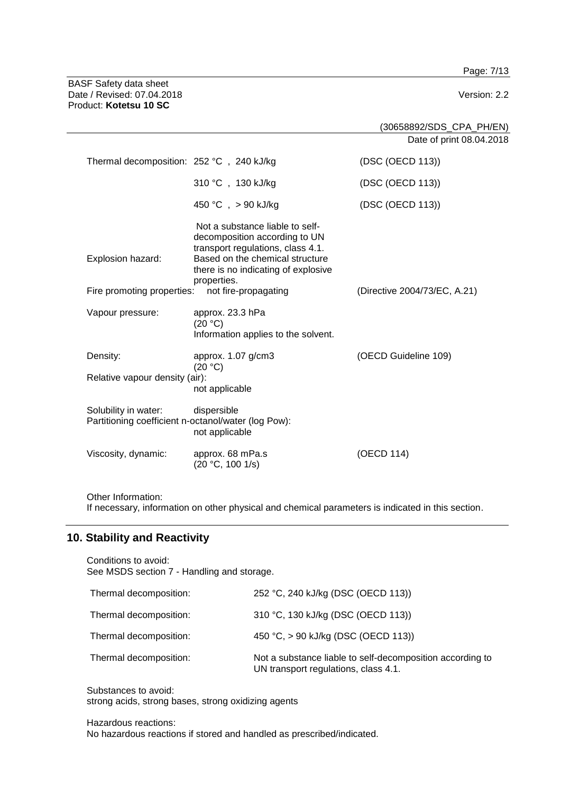Page: 7/13

BASF Safety data sheet Date / Revised: 07.04.2018 **Version: 2.2** Product: **Kotetsu 10 SC**

|                                                                             |                                                                                                                                                                                 | (30658892/SDS_CPA_PH/EN)     |
|-----------------------------------------------------------------------------|---------------------------------------------------------------------------------------------------------------------------------------------------------------------------------|------------------------------|
|                                                                             |                                                                                                                                                                                 | Date of print 08.04.2018     |
| Thermal decomposition: 252 °C, 240 kJ/kg                                    |                                                                                                                                                                                 | (DSC (OECD 113))             |
|                                                                             | 310 °C, 130 kJ/kg                                                                                                                                                               | (DSC (OECD 113))             |
|                                                                             | 450 °C, > 90 kJ/kg                                                                                                                                                              | (DSC (OECD 113))             |
| Explosion hazard:                                                           | Not a substance liable to self-<br>decomposition according to UN<br>transport regulations, class 4.1.<br>Based on the chemical structure<br>there is no indicating of explosive |                              |
| Fire promoting properties:                                                  | properties.<br>not fire-propagating                                                                                                                                             | (Directive 2004/73/EC, A.21) |
| Vapour pressure:                                                            | approx. 23.3 hPa<br>(20 °C)<br>Information applies to the solvent.                                                                                                              |                              |
| Density:                                                                    | approx. 1.07 g/cm3<br>(20 °C)                                                                                                                                                   | (OECD Guideline 109)         |
| Relative vapour density (air):                                              | not applicable                                                                                                                                                                  |                              |
| Solubility in water:<br>Partitioning coefficient n-octanol/water (log Pow): | dispersible<br>not applicable                                                                                                                                                   |                              |
| Viscosity, dynamic:                                                         | approx. 68 mPa.s<br>(20 °C, 100 1/s)                                                                                                                                            | (OECD 114)                   |

Other Information:

If necessary, information on other physical and chemical parameters is indicated in this section.

# **10. Stability and Reactivity**

Conditions to avoid: See MSDS section 7 - Handling and storage.

| Thermal decomposition: | 252 °C, 240 kJ/kg (DSC (OECD 113))                                                                |
|------------------------|---------------------------------------------------------------------------------------------------|
| Thermal decomposition: | 310 °C, 130 kJ/kg (DSC (OECD 113))                                                                |
| Thermal decomposition: | 450 °C, > 90 kJ/kg (DSC (OECD 113))                                                               |
| Thermal decomposition: | Not a substance liable to self-decomposition according to<br>UN transport regulations, class 4.1. |

Substances to avoid: strong acids, strong bases, strong oxidizing agents

Hazardous reactions:

No hazardous reactions if stored and handled as prescribed/indicated.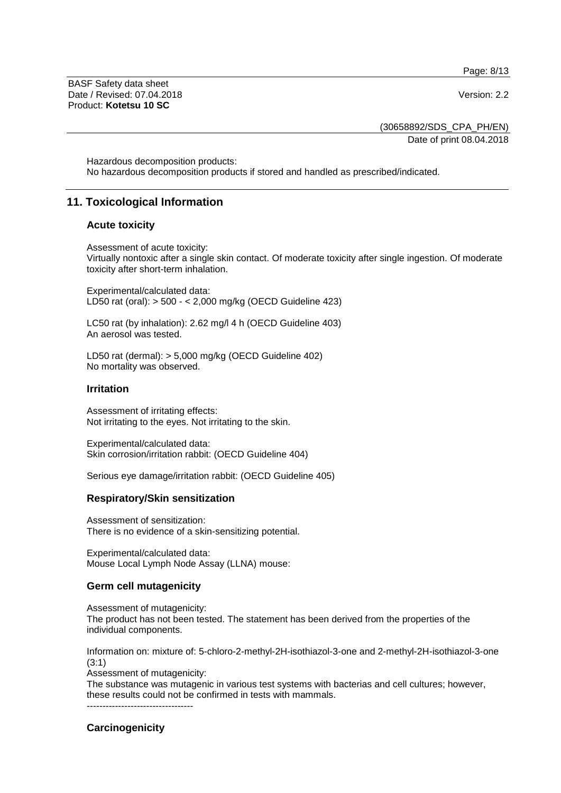Page: 8/13

BASF Safety data sheet Date / Revised: 07.04.2018 Version: 2.2 Product: **Kotetsu 10 SC**

(30658892/SDS\_CPA\_PH/EN) Date of print 08.04.2018

Hazardous decomposition products: No hazardous decomposition products if stored and handled as prescribed/indicated.

# **11. Toxicological Information**

#### **Acute toxicity**

Assessment of acute toxicity: Virtually nontoxic after a single skin contact. Of moderate toxicity after single ingestion. Of moderate toxicity after short-term inhalation.

Experimental/calculated data: LD50 rat (oral): > 500 - < 2,000 mg/kg (OECD Guideline 423)

LC50 rat (by inhalation): 2.62 mg/l 4 h (OECD Guideline 403) An aerosol was tested.

LD50 rat (dermal): > 5,000 mg/kg (OECD Guideline 402) No mortality was observed.

#### **Irritation**

Assessment of irritating effects: Not irritating to the eyes. Not irritating to the skin.

Experimental/calculated data: Skin corrosion/irritation rabbit: (OECD Guideline 404)

Serious eye damage/irritation rabbit: (OECD Guideline 405)

#### **Respiratory/Skin sensitization**

Assessment of sensitization: There is no evidence of a skin-sensitizing potential.

Experimental/calculated data: Mouse Local Lymph Node Assay (LLNA) mouse:

#### **Germ cell mutagenicity**

Assessment of mutagenicity: The product has not been tested. The statement has been derived from the properties of the individual components.

Information on: mixture of: 5-chloro-2-methyl-2H-isothiazol-3-one and 2-methyl-2H-isothiazol-3-one (3:1)

Assessment of mutagenicity:

The substance was mutagenic in various test systems with bacterias and cell cultures; however, these results could not be confirmed in tests with mammals.

----------------------------------

#### **Carcinogenicity**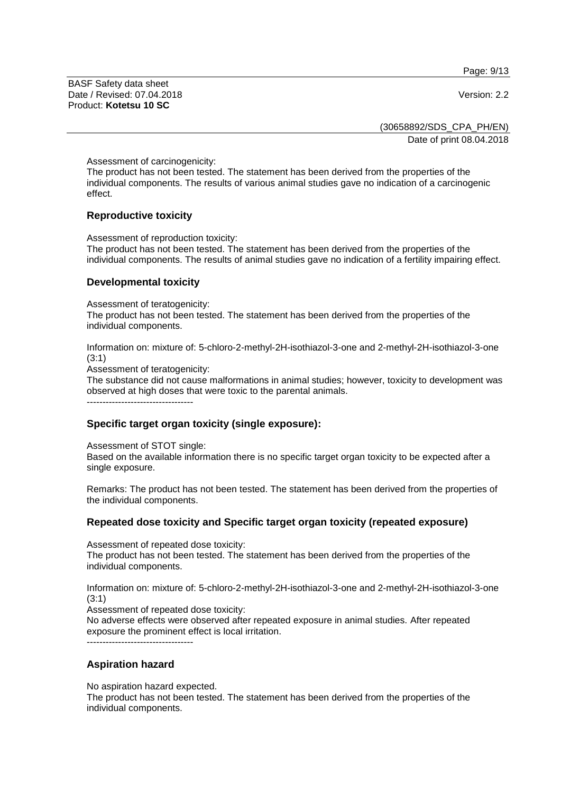Page: 9/13

BASF Safety data sheet Date / Revised: 07.04.2018 Version: 2.2 Product: **Kotetsu 10 SC**

(30658892/SDS\_CPA\_PH/EN) Date of print 08.04.2018

Assessment of carcinogenicity:

The product has not been tested. The statement has been derived from the properties of the individual components. The results of various animal studies gave no indication of a carcinogenic effect.

#### **Reproductive toxicity**

Assessment of reproduction toxicity: The product has not been tested. The statement has been derived from the properties of the individual components. The results of animal studies gave no indication of a fertility impairing effect.

#### **Developmental toxicity**

Assessment of teratogenicity:

The product has not been tested. The statement has been derived from the properties of the individual components.

Information on: mixture of: 5-chloro-2-methyl-2H-isothiazol-3-one and 2-methyl-2H-isothiazol-3-one (3:1)

Assessment of teratogenicity:

The substance did not cause malformations in animal studies; however, toxicity to development was observed at high doses that were toxic to the parental animals.

----------------------------------

### **Specific target organ toxicity (single exposure):**

Assessment of STOT single:

Based on the available information there is no specific target organ toxicity to be expected after a single exposure.

Remarks: The product has not been tested. The statement has been derived from the properties of the individual components.

### **Repeated dose toxicity and Specific target organ toxicity (repeated exposure)**

Assessment of repeated dose toxicity:

The product has not been tested. The statement has been derived from the properties of the individual components.

Information on: mixture of: 5-chloro-2-methyl-2H-isothiazol-3-one and 2-methyl-2H-isothiazol-3-one (3:1)

Assessment of repeated dose toxicity:

No adverse effects were observed after repeated exposure in animal studies. After repeated exposure the prominent effect is local irritation. ----------------------------------

### **Aspiration hazard**

No aspiration hazard expected.

The product has not been tested. The statement has been derived from the properties of the individual components.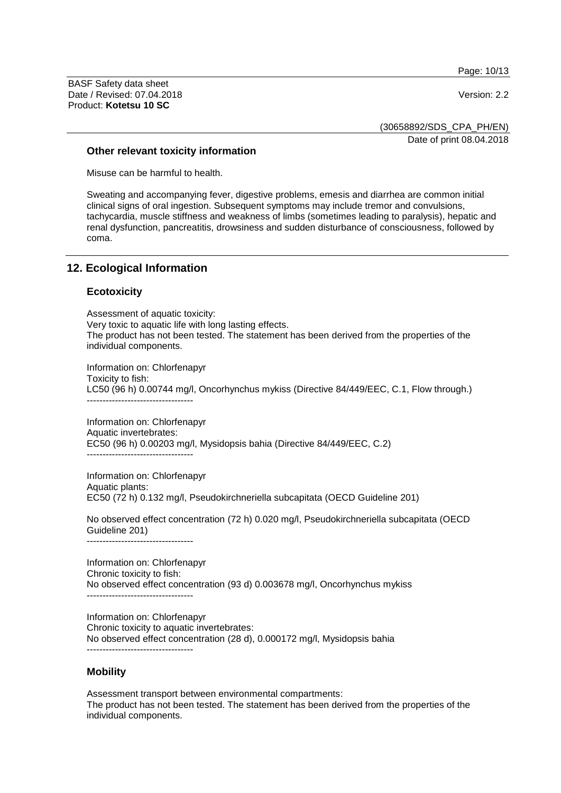Page: 10/13

BASF Safety data sheet Date / Revised: 07.04.2018 Version: 2.2 Product: **Kotetsu 10 SC**

(30658892/SDS\_CPA\_PH/EN) Date of print 08.04.2018

#### **Other relevant toxicity information**

Misuse can be harmful to health.

Sweating and accompanying fever, digestive problems, emesis and diarrhea are common initial clinical signs of oral ingestion. Subsequent symptoms may include tremor and convulsions, tachycardia, muscle stiffness and weakness of limbs (sometimes leading to paralysis), hepatic and renal dysfunction, pancreatitis, drowsiness and sudden disturbance of consciousness, followed by coma.

#### **12. Ecological Information**

#### **Ecotoxicity**

Assessment of aquatic toxicity: Very toxic to aquatic life with long lasting effects. The product has not been tested. The statement has been derived from the properties of the individual components.

Information on: Chlorfenapyr Toxicity to fish: LC50 (96 h) 0.00744 mg/l, Oncorhynchus mykiss (Directive 84/449/EEC, C.1, Flow through.) ----------------------------------

Information on: Chlorfenapyr Aquatic invertebrates: EC50 (96 h) 0.00203 mg/l, Mysidopsis bahia (Directive 84/449/EEC, C.2) ----------------------------------

Information on: Chlorfenapyr Aquatic plants: EC50 (72 h) 0.132 mg/l, Pseudokirchneriella subcapitata (OECD Guideline 201)

No observed effect concentration (72 h) 0.020 mg/l, Pseudokirchneriella subcapitata (OECD Guideline 201) ----------------------------------

Information on: Chlorfenapyr

Chronic toxicity to fish: No observed effect concentration (93 d) 0.003678 mg/l, Oncorhynchus mykiss ----------------------------------

Information on: Chlorfenapyr Chronic toxicity to aquatic invertebrates: No observed effect concentration (28 d), 0.000172 mg/l, Mysidopsis bahia ----------------------------------

#### **Mobility**

Assessment transport between environmental compartments: The product has not been tested. The statement has been derived from the properties of the individual components.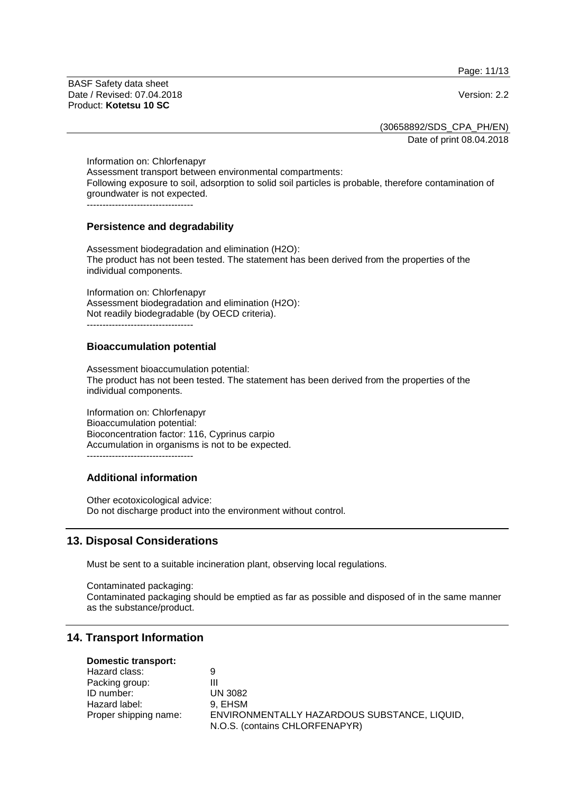Page: 11/13

BASF Safety data sheet Date / Revised: 07.04.2018 Version: 2.2 Product: **Kotetsu 10 SC**

(30658892/SDS\_CPA\_PH/EN) Date of print 08.04.2018

Information on: Chlorfenapyr Assessment transport between environmental compartments: Following exposure to soil, adsorption to solid soil particles is probable, therefore contamination of groundwater is not expected. ----------------------------------

#### **Persistence and degradability**

Assessment biodegradation and elimination (H2O): The product has not been tested. The statement has been derived from the properties of the individual components.

Information on: Chlorfenapyr Assessment biodegradation and elimination (H2O): Not readily biodegradable (by OECD criteria).

----------------------------------

#### **Bioaccumulation potential**

Assessment bioaccumulation potential: The product has not been tested. The statement has been derived from the properties of the individual components.

Information on: Chlorfenapyr Bioaccumulation potential: Bioconcentration factor: 116, Cyprinus carpio Accumulation in organisms is not to be expected. ----------------------------------

**Additional information**

Other ecotoxicological advice: Do not discharge product into the environment without control.

### **13. Disposal Considerations**

Must be sent to a suitable incineration plant, observing local regulations.

Contaminated packaging: Contaminated packaging should be emptied as far as possible and disposed of in the same manner as the substance/product.

#### **14. Transport Information**

#### **Domestic transport:**

Hazard class: 9 Packing group: III ID number: UN 3082 Hazard label: 9, EHSM Proper shipping name: ENVIRONMENTALLY HAZARDOUS SUBSTANCE, LIQUID, N.O.S. (contains CHLORFENAPYR)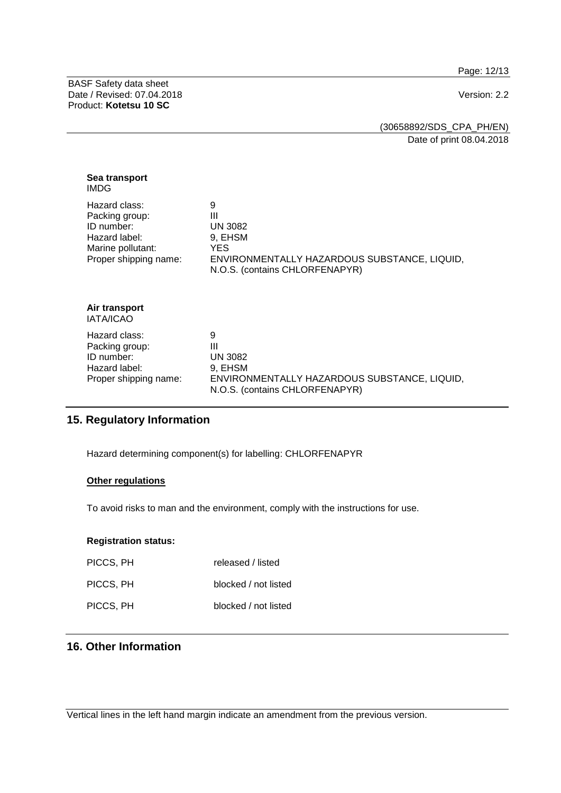Page: 12/13

BASF Safety data sheet Date / Revised: 07.04.2018 **Version: 2.2** Product: **Kotetsu 10 SC**

(30658892/SDS\_CPA\_PH/EN) Date of print 08.04.2018

| Sea transport<br><b>IMDG</b>                                                                                 |                                                                                                                               |
|--------------------------------------------------------------------------------------------------------------|-------------------------------------------------------------------------------------------------------------------------------|
| Hazard class:<br>Packing group:<br>ID number:<br>Hazard label:<br>Marine pollutant:<br>Proper shipping name: | 9<br>Ш<br><b>UN 3082</b><br>9, EHSM<br>YES.<br>ENVIRONMENTALLY HAZARDOUS SUBSTANCE, LIQUID,<br>N.O.S. (contains CHLORFENAPYR) |
| Air transport<br><b>IATA/ICAO</b>                                                                            |                                                                                                                               |
| Hazard class:<br>Packing group:<br>ID number:<br>Hazard label:<br>Proper shipping name:                      | 9<br>Ш<br><b>UN 3082</b><br>9, EHSM<br>ENVIRONMENTALLY HAZARDOUS SUBSTANCE, LIQUID,<br>N.O.S. (contains CHLORFENAPYR)         |

# **15. Regulatory Information**

Hazard determining component(s) for labelling: CHLORFENAPYR

#### **Other regulations**

To avoid risks to man and the environment, comply with the instructions for use.

#### **Registration status:**

| PICCS, PH | released / listed    |
|-----------|----------------------|
| PICCS, PH | blocked / not listed |
| PICCS, PH | blocked / not listed |

# **16. Other Information**